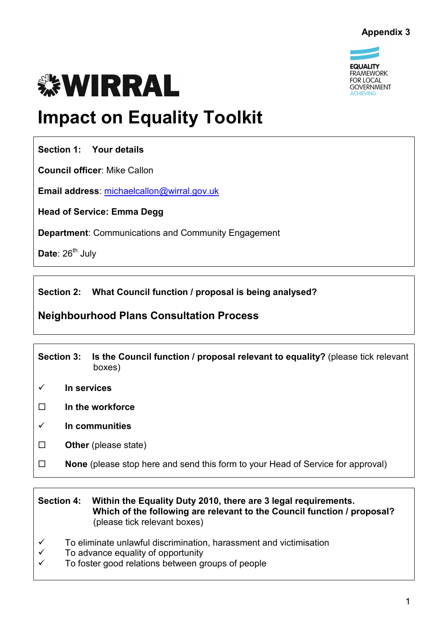

# **WIRRAL**

# **Impact on Equality Toolkit**

**Section 1: Your details** 

**Council officer**: Mike Callon

**Email address**: michaelcallon@wirral.gov.uk

**Head of Service: Emma Degg** 

**Department**: Communications and Community Engagement

Date: 26<sup>th</sup> July

**Section 2: What Council function / proposal is being analysed?**

# **Neighbourhood Plans Consultation Process**

|             | <b>Section 3:</b>                                                               | Is the Council function / proposal relevant to equality? (please tick relevant<br>boxes) |
|-------------|---------------------------------------------------------------------------------|------------------------------------------------------------------------------------------|
| In services |                                                                                 |                                                                                          |
| П           | In the workforce                                                                |                                                                                          |
| ✓           | In communities                                                                  |                                                                                          |
|             | <b>Other</b> (please state)                                                     |                                                                                          |
| П           | None (please stop here and send this form to your Head of Service for approval) |                                                                                          |

#### **Section 4: Within the Equality Duty 2010, there are 3 legal requirements. Which of the following are relevant to the Council function / proposal?**  (please tick relevant boxes)

- $\checkmark$  To eliminate unlawful discrimination, harassment and victimisation  $\checkmark$  To advance equality of opportunity
- $\checkmark$  To advance equality of opportunity<br> $\checkmark$  To foster good relations between g
- To foster good relations between groups of people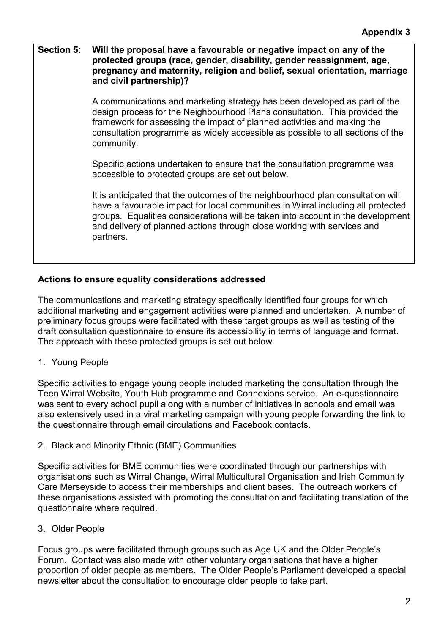#### **Section 5: Will the proposal have a favourable or negative impact on any of the protected groups (race, gender, disability, gender reassignment, age, pregnancy and maternity, religion and belief, sexual orientation, marriage and civil partnership)?**

 A communications and marketing strategy has been developed as part of the design process for the Neighbourhood Plans consultation. This provided the framework for assessing the impact of planned activities and making the consultation programme as widely accessible as possible to all sections of the community.

 Specific actions undertaken to ensure that the consultation programme was accessible to protected groups are set out below.

 It is anticipated that the outcomes of the neighbourhood plan consultation will have a favourable impact for local communities in Wirral including all protected groups. Equalities considerations will be taken into account in the development and delivery of planned actions through close working with services and partners.

# **Actions to ensure equality considerations addressed**

The communications and marketing strategy specifically identified four groups for which additional marketing and engagement activities were planned and undertaken. A number of preliminary focus groups were facilitated with these target groups as well as testing of the draft consultation questionnaire to ensure its accessibility in terms of language and format. The approach with these protected groups is set out below.

1. Young People

Specific activities to engage young people included marketing the consultation through the Teen Wirral Website, Youth Hub programme and Connexions service. An e-questionnaire was sent to every school pupil along with a number of initiatives in schools and email was also extensively used in a viral marketing campaign with young people forwarding the link to the questionnaire through email circulations and Facebook contacts.

2. Black and Minority Ethnic (BME) Communities

Specific activities for BME communities were coordinated through our partnerships with organisations such as Wirral Change, Wirral Multicultural Organisation and Irish Community Care Merseyside to access their memberships and client bases. The outreach workers of these organisations assisted with promoting the consultation and facilitating translation of the questionnaire where required.

3. Older People

Focus groups were facilitated through groups such as Age UK and the Older People's Forum. Contact was also made with other voluntary organisations that have a higher proportion of older people as members. The Older People's Parliament developed a special newsletter about the consultation to encourage older people to take part.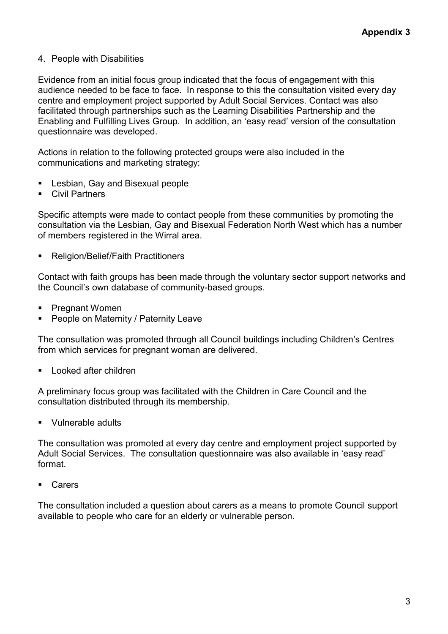#### 4. People with Disabilities

Evidence from an initial focus group indicated that the focus of engagement with this audience needed to be face to face. In response to this the consultation visited every day centre and employment project supported by Adult Social Services. Contact was also facilitated through partnerships such as the Learning Disabilities Partnership and the Enabling and Fulfilling Lives Group. In addition, an 'easy read' version of the consultation questionnaire was developed.

Actions in relation to the following protected groups were also included in the communications and marketing strategy:

- § Lesbian, Gay and Bisexual people
- § Civil Partners

Specific attempts were made to contact people from these communities by promoting the consultation via the Lesbian, Gay and Bisexual Federation North West which has a number of members registered in the Wirral area.

§ Religion/Belief/Faith Practitioners

Contact with faith groups has been made through the voluntary sector support networks and the Council's own database of community-based groups.

- Pregnant Women
- § People on Maternity / Paternity Leave

The consultation was promoted through all Council buildings including Children's Centres from which services for pregnant woman are delivered.

§ Looked after children

A preliminary focus group was facilitated with the Children in Care Council and the consultation distributed through its membership.

§ Vulnerable adults

The consultation was promoted at every day centre and employment project supported by Adult Social Services. The consultation questionnaire was also available in 'easy read' format.

§ Carers

The consultation included a question about carers as a means to promote Council support available to people who care for an elderly or vulnerable person.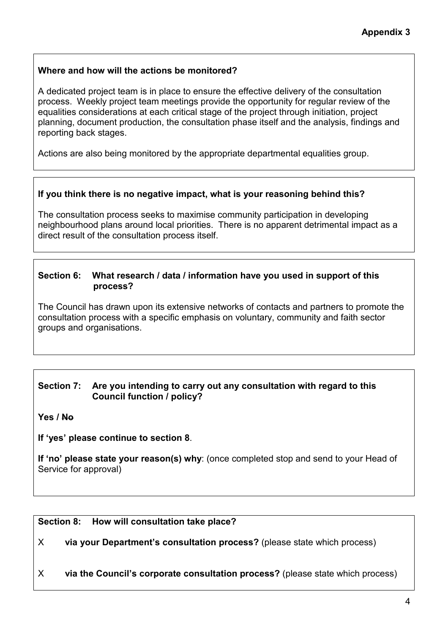# **Where and how will the actions be monitored?**

A dedicated project team is in place to ensure the effective delivery of the consultation process. Weekly project team meetings provide the opportunity for regular review of the equalities considerations at each critical stage of the project through initiation, project planning, document production, the consultation phase itself and the analysis, findings and reporting back stages.

Actions are also being monitored by the appropriate departmental equalities group.

# **If you think there is no negative impact, what is your reasoning behind this?**

The consultation process seeks to maximise community participation in developing neighbourhood plans around local priorities. There is no apparent detrimental impact as a direct result of the consultation process itself.

#### **Section 6: What research / data / information have you used in support of this process?**

The Council has drawn upon its extensive networks of contacts and partners to promote the consultation process with a specific emphasis on voluntary, community and faith sector groups and organisations.

#### **Section 7: Are you intending to carry out any consultation with regard to this Council function / policy?**

**Yes / No**

**If 'yes' please continue to section 8**.

**If 'no' please state your reason(s) why**: (once completed stop and send to your Head of Service for approval)

#### **Section 8: How will consultation take place?**

X **via your Department's consultation process?** (please state which process)

X **via the Council's corporate consultation process?** (please state which process)